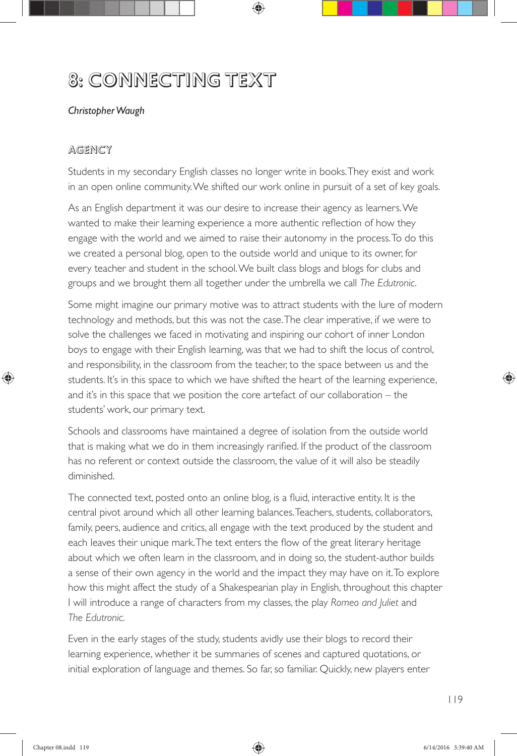# 8: CONNECTING TEXT

#### *Christopher Waugh*

### **AGENCY**

⊕

Students in my secondary English classes no longer write in books. They exist and work in an open online community. We shifted our work online in pursuit of a set of key goals.

♠

As an English department it was our desire to increase their agency as learners. We wanted to make their learning experience a more authentic reflection of how they engage with the world and we aimed to raise their autonomy in the process. To do this we created a personal blog, open to the outside world and unique to its owner, for every teacher and student in the school. We built class blogs and blogs for clubs and groups and we brought them all together under the umbrella we call *The Edutronic*.

Some might imagine our primary motive was to attract students with the lure of modern technology and methods, but this was not the case. The clear imperative, if we were to solve the challenges we faced in motivating and inspiring our cohort of inner London boys to engage with their English learning, was that we had to shift the locus of control, and responsibility, in the classroom from the teacher, to the space between us and the students. It's in this space to which we have shifted the heart of the learning experience, and it's in this space that we position the core artefact of our collaboration – the students' work, our primary text.

Schools and classrooms have maintained a degree of isolation from the outside world that is making what we do in them increasingly rarified. If the product of the classroom has no referent or context outside the classroom, the value of it will also be steadily diminished.

The connected text, posted onto an online blog, is a fluid, interactive entity. It is the central pivot around which all other learning balances. Teachers, students, collaborators, family, peers, audience and critics, all engage with the text produced by the student and each leaves their unique mark. The text enters the flow of the great literary heritage about which we often learn in the classroom, and in doing so, the student-author builds a sense of their own agency in the world and the impact they may have on it. To explore how this might affect the study of a Shakespearian play in English, throughout this chapter I will introduce a range of characters from my classes, the play *Romeo and Juliet* and *The Edutronic*.

Even in the early stages of the study, students avidly use their blogs to record their learning experience, whether it be summaries of scenes and captured quotations, or initial exploration of language and themes. So far, so familiar. Quickly, new players enter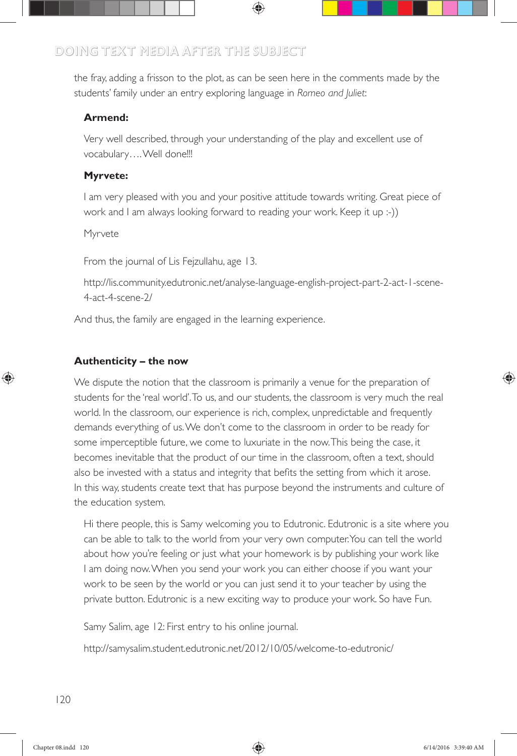the fray, adding a frisson to the plot, as can be seen here in the comments made by the students' family under an entry exploring language in *Romeo and Juliet*:

⊕

### **Armend:**

Very well described, through your understanding of the play and excellent use of vocabulary…. Well done!!!

#### **Myrvete:**

I am very pleased with you and your positive attitude towards writing. Great piece of work and I am always looking forward to reading your work. Keep it up :-))

#### Myrvete

From the journal of Lis Fejzullahu, age 13.

http://lis.community.edutronic.net/analyse-language-english-project-part-2-act-1-scene-4-act-4-scene-2/

And thus, the family are engaged in the learning experience.

### **Authenticity – the now**

We dispute the notion that the classroom is primarily a venue for the preparation of students for the 'real world'. To us, and our students, the classroom is very much the real world. In the classroom, our experience is rich, complex, unpredictable and frequently demands everything of us. We don't come to the classroom in order to be ready for some imperceptible future, we come to luxuriate in the now. This being the case, it becomes inevitable that the product of our time in the classroom, often a text, should also be invested with a status and integrity that befits the setting from which it arose. In this way, students create text that has purpose beyond the instruments and culture of the education system.

Hi there people, this is Samy welcoming you to Edutronic. Edutronic is a site where you can be able to talk to the world from your very own computer. You can tell the world about how you're feeling or just what your homework is by publishing your work like I am doing now. When you send your work you can either choose if you want your work to be seen by the world or you can just send it to your teacher by using the private button. Edutronic is a new exciting way to produce your work. So have Fun.

Samy Salim, age 12: First entry to his online journal.

http://samysalim.student.edutronic.net/2012/10/05/welcome-to-edutronic/

⊕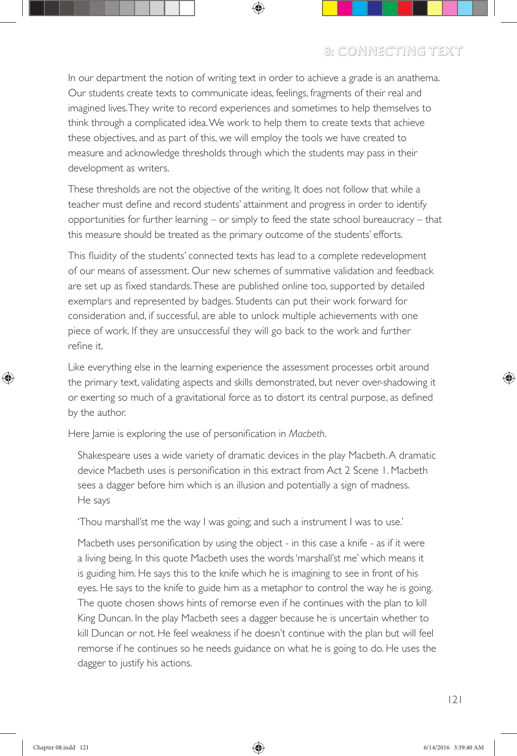### 8: CONNECTING TEXT

In our department the notion of writing text in order to achieve a grade is an anathema. Our students create texts to communicate ideas, feelings, fragments of their real and imagined lives. They write to record experiences and sometimes to help themselves to think through a complicated idea. We work to help them to create texts that achieve these objectives, and as part of this, we will employ the tools we have created to measure and acknowledge thresholds through which the students may pass in their development as writers.

 $\bigcirc$ 

These thresholds are not the objective of the writing. It does not follow that while a teacher must define and record students' attainment and progress in order to identify opportunities for further learning – or simply to feed the state school bureaucracy – that this measure should be treated as the primary outcome of the students' efforts.

This fluidity of the students' connected texts has lead to a complete redevelopment of our means of assessment. Our new schemes of summative validation and feedback are set up as fixed standards. These are published online too, supported by detailed exemplars and represented by badges. Students can put their work forward for consideration and, if successful, are able to unlock multiple achievements with one piece of work. If they are unsuccessful they will go back to the work and further refine it.

Like everything else in the learning experience the assessment processes orbit around the primary text, validating aspects and skills demonstrated, but never over-shadowing it or exerting so much of a gravitational force as to distort its central purpose, as defined by the author.

Here Jamie is exploring the use of personification in *Macbeth*.

Shakespeare uses a wide variety of dramatic devices in the play Macbeth. A dramatic device Macbeth uses is personification in this extract from Act 2 Scene 1. Macbeth sees a dagger before him which is an illusion and potentially a sign of madness. He says

'Thou marshall'st me the way I was going; and such a instrument I was to use.'

Macbeth uses personification by using the object - in this case a knife - as if it were a living being. In this quote Macbeth uses the words 'marshall'st me' which means it is guiding him. He says this to the knife which he is imagining to see in front of his eyes. He says to the knife to guide him as a metaphor to control the way he is going. The quote chosen shows hints of remorse even if he continues with the plan to kill King Duncan. In the play Macbeth sees a dagger because he is uncertain whether to kill Duncan or not. He feel weakness if he doesn't continue with the plan but will feel remorse if he continues so he needs guidance on what he is going to do. He uses the dagger to justify his actions.

⊕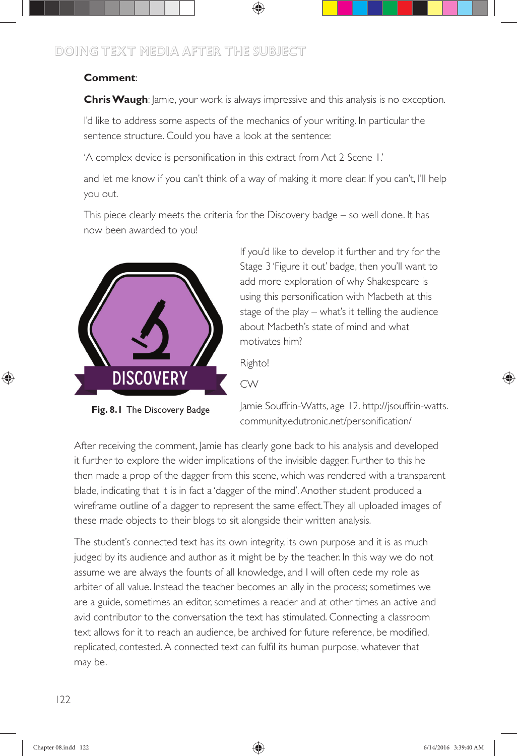### **Comment**:

**Chris Waugh:** Jamie, your work is always impressive and this analysis is no exception.

⊕

I'd like to address some aspects of the mechanics of your writing. In particular the sentence structure. Could you have a look at the sentence:

'A complex device is personification in this extract from Act 2 Scene 1.'

and let me know if you can't think of a way of making it more clear. If you can't, I'll help you out.

This piece clearly meets the criteria for the Discovery badge – so well done. It has now been awarded to you!



**Fig. 8.1** The Discovery Badge

If you'd like to develop it further and try for the Stage 3 'Figure it out' badge, then you'll want to add more exploration of why Shakespeare is using this personification with Macbeth at this stage of the play – what's it telling the audience about Macbeth's state of mind and what motivates him?

Righto!

#### CW

Jamie Souffrin-Watts, age 12. http://jsouffrin-watts. community.edutronic.net/personification/

After receiving the comment, Jamie has clearly gone back to his analysis and developed it further to explore the wider implications of the invisible dagger. Further to this he then made a prop of the dagger from this scene, which was rendered with a transparent blade, indicating that it is in fact a 'dagger of the mind'. Another student produced a wireframe outline of a dagger to represent the same effect. They all uploaded images of these made objects to their blogs to sit alongside their written analysis.

The student's connected text has its own integrity, its own purpose and it is as much judged by its audience and author as it might be by the teacher. In this way we do not assume we are always the founts of all knowledge, and I will often cede my role as arbiter of all value. Instead the teacher becomes an ally in the process; sometimes we are a guide, sometimes an editor, sometimes a reader and at other times an active and avid contributor to the conversation the text has stimulated. Connecting a classroom text allows for it to reach an audience, be archived for future reference, be modified, replicated, contested. A connected text can fulfi l its human purpose, whatever that may be.

⊕

◈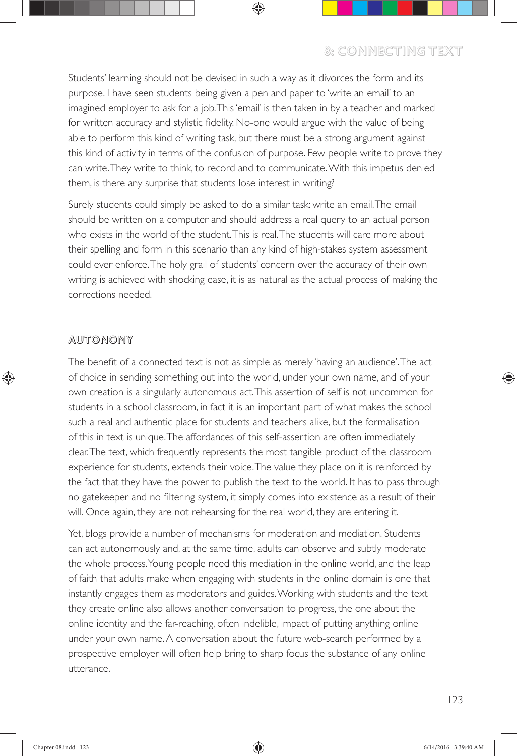### 8: CONNECTING TEXT

Students' learning should not be devised in such a way as it divorces the form and its purpose. I have seen students being given a pen and paper to 'write an email' to an imagined employer to ask for a job. This 'email' is then taken in by a teacher and marked for written accuracy and stylistic fidelity. No-one would argue with the value of being able to perform this kind of writing task, but there must be a strong argument against this kind of activity in terms of the confusion of purpose. Few people write to prove they can write. They write to think, to record and to communicate. With this impetus denied them, is there any surprise that students lose interest in writing?

⊕

Surely students could simply be asked to do a similar task: write an email. The email should be written on a computer and should address a real query to an actual person who exists in the world of the student. This is real. The students will care more about their spelling and form in this scenario than any kind of high-stakes system assessment could ever enforce. The holy grail of students' concern over the accuracy of their own writing is achieved with shocking ease, it is as natural as the actual process of making the corrections needed.

### Autonomy

⊕

The benefit of a connected text is not as simple as merely 'having an audience'. The act of choice in sending something out into the world, under your own name, and of your own creation is a singularly autonomous act. This assertion of self is not uncommon for students in a school classroom, in fact it is an important part of what makes the school such a real and authentic place for students and teachers alike, but the formalisation of this in text is unique. The affordances of this self-assertion are often immediately clear. The text, which frequently represents the most tangible product of the classroom experience for students, extends their voice. The value they place on it is reinforced by the fact that they have the power to publish the text to the world. It has to pass through no gatekeeper and no filtering system, it simply comes into existence as a result of their will. Once again, they are not rehearsing for the real world, they are entering it.

Yet, blogs provide a number of mechanisms for moderation and mediation. Students can act autonomously and, at the same time, adults can observe and subtly moderate the whole process. Young people need this mediation in the online world, and the leap of faith that adults make when engaging with students in the online domain is one that instantly engages them as moderators and guides. Working with students and the text they create online also allows another conversation to progress, the one about the online identity and the far-reaching, often indelible, impact of putting anything online under your own name. A conversation about the future web-search performed by a prospective employer will often help bring to sharp focus the substance of any online utterance.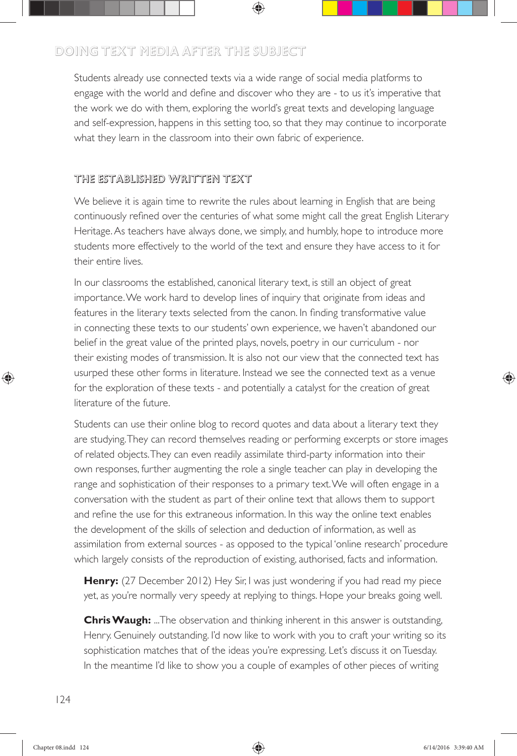Students already use connected texts via a wide range of social media platforms to engage with the world and define and discover who they are - to us it's imperative that the work we do with them, exploring the world's great texts and developing language and self-expression, happens in this setting too, so that they may continue to incorporate what they learn in the classroom into their own fabric of experience.

⊕

### The established written text

We believe it is again time to rewrite the rules about learning in English that are being continuously refined over the centuries of what some might call the great English Literary Heritage. As teachers have always done, we simply, and humbly, hope to introduce more students more effectively to the world of the text and ensure they have access to it for their entire lives.

In our classrooms the established, canonical literary text, is still an object of great importance. We work hard to develop lines of inquiry that originate from ideas and features in the literary texts selected from the canon. In finding transformative value in connecting these texts to our students' own experience, we haven't abandoned our belief in the great value of the printed plays, novels, poetry in our curriculum - nor their existing modes of transmission. It is also not our view that the connected text has usurped these other forms in literature. Instead we see the connected text as a venue for the exploration of these texts - and potentially a catalyst for the creation of great literature of the future.

Students can use their online blog to record quotes and data about a literary text they are studying. They can record themselves reading or performing excerpts or store images of related objects. They can even readily assimilate third-party information into their own responses, further augmenting the role a single teacher can play in developing the range and sophistication of their responses to a primary text. We will often engage in a conversation with the student as part of their online text that allows them to support and refine the use for this extraneous information. In this way the online text enables the development of the skills of selection and deduction of information, as well as assimilation from external sources - as opposed to the typical 'online research' procedure which largely consists of the reproduction of existing, authorised, facts and information.

**Henry:** (27 December 2012) Hey Sir, I was just wondering if you had read my piece yet, as you're normally very speedy at replying to things. Hope your breaks going well.

**Chris Waugh:** ...The observation and thinking inherent in this answer is outstanding, Henry. Genuinely outstanding. I'd now like to work with you to craft your writing so its sophistication matches that of the ideas you're expressing. Let's discuss it on Tuesday. In the meantime I'd like to show you a couple of examples of other pieces of writing

⊕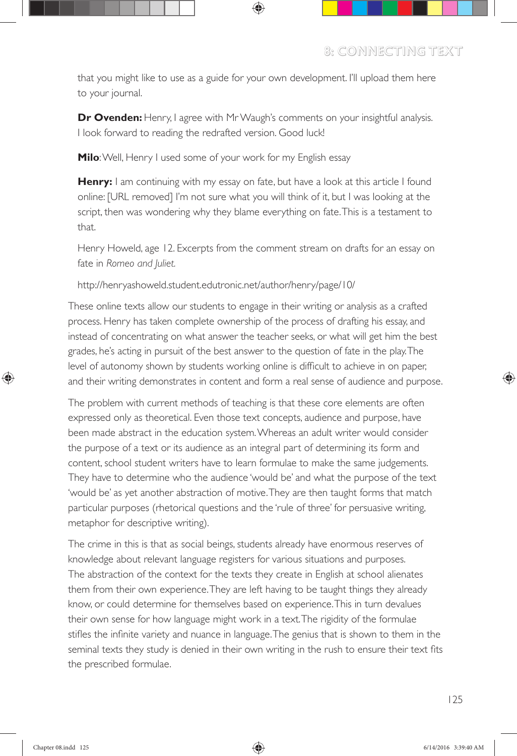

that you might like to use as a guide for your own development. I'll upload them here to your journal.

⊕

**Dr Ovenden:** Henry, I agree with Mr Waugh's comments on your insightful analysis. I look forward to reading the redrafted version. Good luck!

**Milo**: Well, Henry I used some of your work for my English essay

**Henry:** I am continuing with my essay on fate, but have a look at this article I found online: [URL removed] I'm not sure what you will think of it, but I was looking at the script, then was wondering why they blame everything on fate. This is a testament to that.

Henry Howeld, age 12. Excerpts from the comment stream on drafts for an essay on fate in *Romeo and Juliet.* 

#### http://henryashoweld.student.edutronic.net/author/henry/page/10/

These online texts allow our students to engage in their writing or analysis as a crafted process. Henry has taken complete ownership of the process of drafting his essay, and instead of concentrating on what answer the teacher seeks, or what will get him the best grades, he's acting in pursuit of the best answer to the question of fate in the play. The level of autonomy shown by students working online is difficult to achieve in on paper, and their writing demonstrates in content and form a real sense of audience and purpose.

The problem with current methods of teaching is that these core elements are often expressed only as theoretical. Even those text concepts, audience and purpose, have been made abstract in the education system. Whereas an adult writer would consider the purpose of a text or its audience as an integral part of determining its form and content, school student writers have to learn formulae to make the same judgements. They have to determine who the audience 'would be' and what the purpose of the text 'would be' as yet another abstraction of motive. They are then taught forms that match particular purposes (rhetorical questions and the 'rule of three' for persuasive writing, metaphor for descriptive writing).

The crime in this is that as social beings, students already have enormous reserves of knowledge about relevant language registers for various situations and purposes. The abstraction of the context for the texts they create in English at school alienates them from their own experience. They are left having to be taught things they already know, or could determine for themselves based on experience. This in turn devalues their own sense for how language might work in a text. The rigidity of the formulae stifles the infinite variety and nuance in language. The genius that is shown to them in the seminal texts they study is denied in their own writing in the rush to ensure their text fits the prescribed formulae.

⊕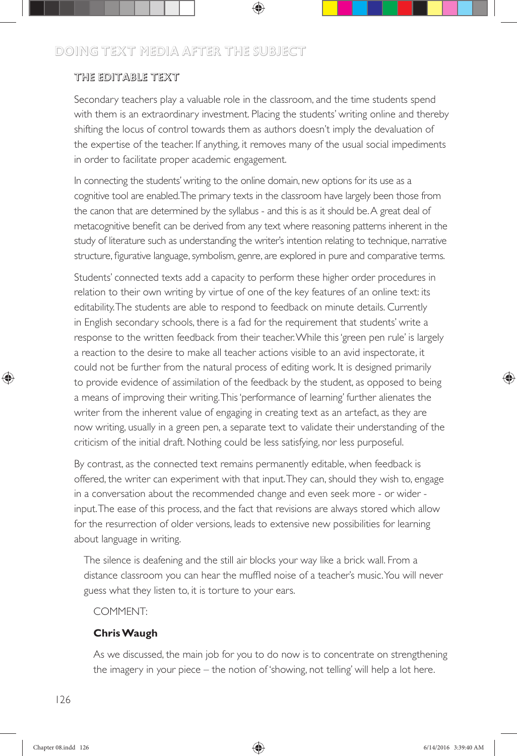### The editable text

Secondary teachers play a valuable role in the classroom, and the time students spend with them is an extraordinary investment. Placing the students' writing online and thereby shifting the locus of control towards them as authors doesn't imply the devaluation of the expertise of the teacher. If anything, it removes many of the usual social impediments in order to facilitate proper academic engagement.

⊕

In connecting the students' writing to the online domain, new options for its use as a cognitive tool are enabled. The primary texts in the classroom have largely been those from the canon that are determined by the syllabus - and this is as it should be. A great deal of metacognitive benefit can be derived from any text where reasoning patterns inherent in the study of literature such as understanding the writer's intention relating to technique, narrative structure, figurative language, symbolism, genre, are explored in pure and comparative terms.

Students' connected texts add a capacity to perform these higher order procedures in relation to their own writing by virtue of one of the key features of an online text: its editability. The students are able to respond to feedback on minute details. Currently in English secondary schools, there is a fad for the requirement that students' write a response to the written feedback from their teacher. While this 'green pen rule' is largely a reaction to the desire to make all teacher actions visible to an avid inspectorate, it could not be further from the natural process of editing work. It is designed primarily to provide evidence of assimilation of the feedback by the student, as opposed to being a means of improving their writing. This 'performance of learning' further alienates the writer from the inherent value of engaging in creating text as an artefact, as they are now writing, usually in a green pen, a separate text to validate their understanding of the criticism of the initial draft. Nothing could be less satisfying, nor less purposeful.

By contrast, as the connected text remains permanently editable, when feedback is offered, the writer can experiment with that input. They can, should they wish to, engage in a conversation about the recommended change and even seek more - or wider input. The ease of this process, and the fact that revisions are always stored which allow for the resurrection of older versions, leads to extensive new possibilities for learning about language in writing.

The silence is deafening and the still air blocks your way like a brick wall. From a distance classroom you can hear the muffled noise of a teacher's music. You will never guess what they listen to, it is torture to your ears.

COMMENT:

#### **Chris Waugh**

As we discussed, the main job for you to do now is to concentrate on strengthening the imagery in your piece – the notion of 'showing, not telling' will help a lot here.

126

⊕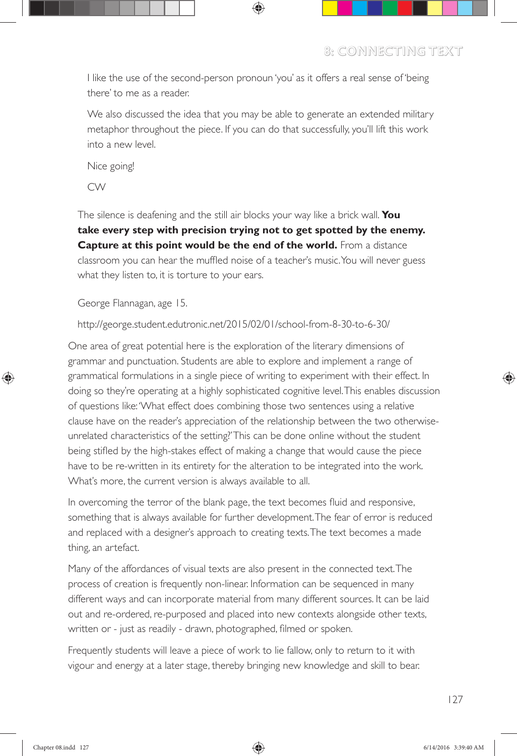

I like the use of the second-person pronoun 'you' as it offers a real sense of 'being there' to me as a reader.

⊕

We also discussed the idea that you may be able to generate an extended military metaphor throughout the piece. If you can do that successfully, you'll lift this work into a new level.

Nice going!

CW

⊕

The silence is deafening and the still air blocks your way like a brick wall. **You take every step with precision trying not to get spotted by the enemy. Capture at this point would be the end of the world.** From a distance classroom you can hear the muffled noise of a teacher's music. You will never guess what they listen to, it is torture to your ears.

George Flannagan, age 15.

http://george.student.edutronic.net/2015/02/01/school-from-8-30-to-6-30/

One area of great potential here is the exploration of the literary dimensions of grammar and punctuation. Students are able to explore and implement a range of grammatical formulations in a single piece of writing to experiment with their effect. In doing so they're operating at a highly sophisticated cognitive level. This enables discussion of questions like: 'What effect does combining those two sentences using a relative clause have on the reader's appreciation of the relationship between the two otherwiseunrelated characteristics of the setting?' This can be done online without the student being stifled by the high-stakes effect of making a change that would cause the piece have to be re-written in its entirety for the alteration to be integrated into the work. What's more, the current version is always available to all.

In overcoming the terror of the blank page, the text becomes fluid and responsive, something that is always available for further development. The fear of error is reduced and replaced with a designer's approach to creating texts. The text becomes a made thing, an artefact.

Many of the affordances of visual texts are also present in the connected text. The process of creation is frequently non-linear. Information can be sequenced in many different ways and can incorporate material from many different sources. It can be laid out and re-ordered, re-purposed and placed into new contexts alongside other texts, written or - just as readily - drawn, photographed, filmed or spoken.

Frequently students will leave a piece of work to lie fallow, only to return to it with vigour and energy at a later stage, thereby bringing new knowledge and skill to bear.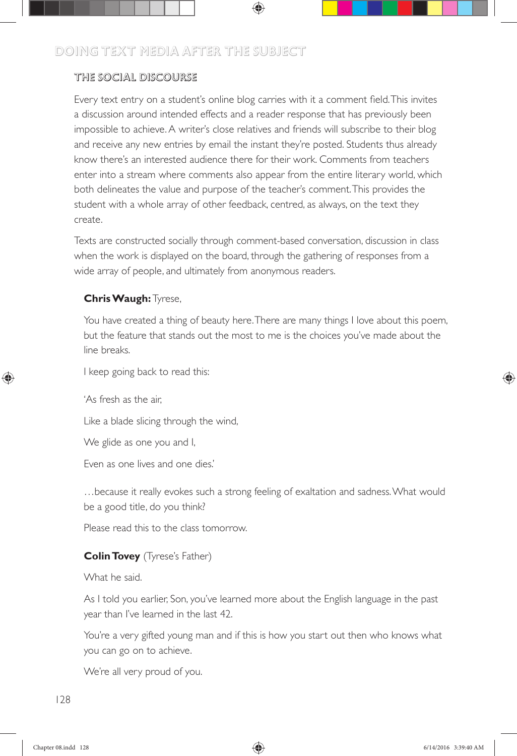### The social discourse

Every text entry on a student's online blog carries with it a comment field. This invites a discussion around intended effects and a reader response that has previously been impossible to achieve. A writer's close relatives and friends will subscribe to their blog and receive any new entries by email the instant they're posted. Students thus already know there's an interested audience there for their work. Comments from teachers enter into a stream where comments also appear from the entire literary world, which both delineates the value and purpose of the teacher's comment. This provides the student with a whole array of other feedback, centred, as always, on the text they create.

⊕

Texts are constructed socially through comment-based conversation, discussion in class when the work is displayed on the board, through the gathering of responses from a wide array of people, and ultimately from anonymous readers.

### **Chris Waugh:** Tyrese,

You have created a thing of beauty here. There are many things I love about this poem, but the feature that stands out the most to me is the choices you've made about the line breaks.

I keep going back to read this:

'As fresh as the air,

⊕

Like a blade slicing through the wind,

We glide as one you and I,

Even as one lives and one dies.'

…because it really evokes such a strong feeling of exaltation and sadness. What would be a good title, do you think?

Please read this to the class tomorrow.

#### **Colin Tovey** (Tyrese's Father)

What he said.

As I told you earlier, Son, you've learned more about the English language in the past year than I've learned in the last 42.

You're a very gifted young man and if this is how you start out then who knows what you can go on to achieve.

We're all very proud of you.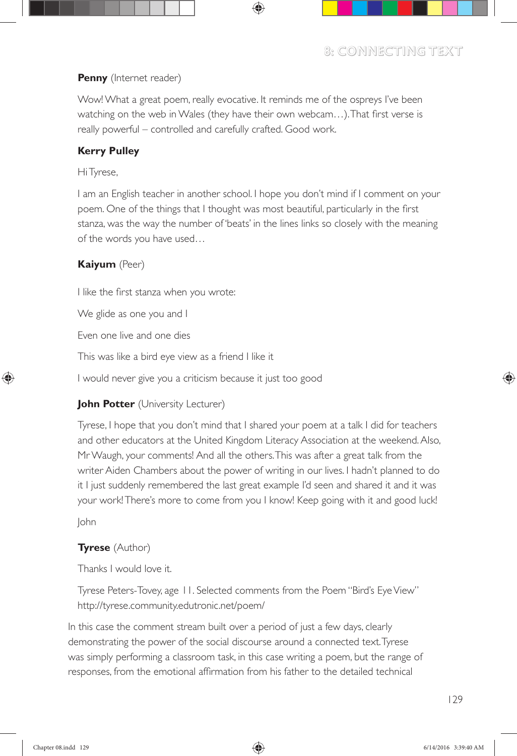### **Penny** (Internet reader)

Wow! What a great poem, really evocative. It reminds me of the ospreys I've been watching on the web in Wales (they have their own webcam...). That first verse is really powerful – controlled and carefully crafted. Good work.

⊕

# **Kerry Pulley**

Hi Tyrese,

I am an English teacher in another school. I hope you don't mind if I comment on your poem. One of the things that I thought was most beautiful, particularly in the first stanza, was the way the number of 'beats' in the lines links so closely with the meaning of the words you have used…

# **Kaiyum** (Peer)

I like the first stanza when you wrote:

We glide as one you and I Even one live and one dies

This was like a bird eye view as a friend I like it

I would never give you a criticism because it just too good

# **John Potter** (University Lecturer)

Tyrese, I hope that you don't mind that I shared your poem at a talk I did for teachers and other educators at the United Kingdom Literacy Association at the weekend. Also, Mr Waugh, your comments! And all the others. This was after a great talk from the writer Aiden Chambers about the power of writing in our lives. I hadn't planned to do it I just suddenly remembered the last great example I'd seen and shared it and it was your work! There's more to come from you I know! Keep going with it and good luck!

John

⊕

# **Tyrese** (Author)

Thanks I would love it.

Tyrese Peters-Tovey, age 11. Selected comments from the Poem "Bird's Eye View" http://tyrese.community.edutronic.net/poem/

In this case the comment stream built over a period of just a few days, clearly demonstrating the power of the social discourse around a connected text. Tyrese was simply performing a classroom task, in this case writing a poem, but the range of responses, from the emotional affirmation from his father to the detailed technical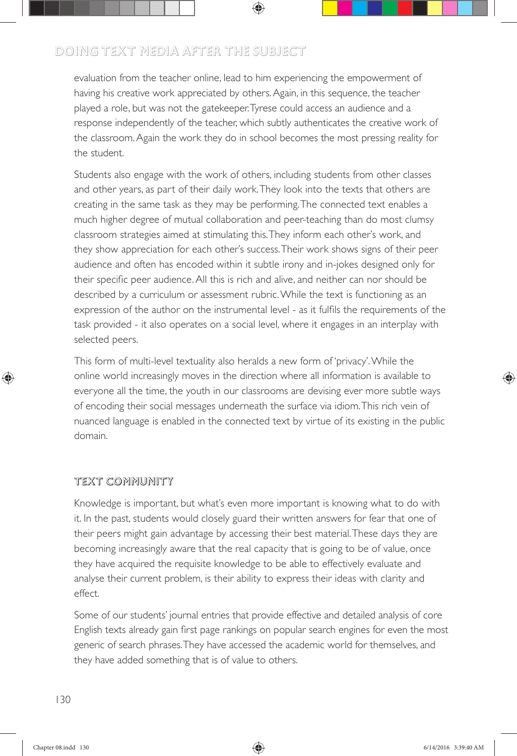evaluation from the teacher online, lead to him experiencing the empowerment of having his creative work appreciated by others. Again, in this sequence, the teacher played a role, but was not the gatekeeper. Tyrese could access an audience and a response independently of the teacher, which subtly authenticates the creative work of the classroom. Again the work they do in school becomes the most pressing reality for the student.

⊕

Students also engage with the work of others, including students from other classes and other years, as part of their daily work. They look into the texts that others are creating in the same task as they may be performing. The connected text enables a much higher degree of mutual collaboration and peer-teaching than do most clumsy classroom strategies aimed at stimulating this. They inform each other's work, and they show appreciation for each other's success. Their work shows signs of their peer audience and often has encoded within it subtle irony and in-jokes designed only for their specific peer audience. All this is rich and alive, and neither can nor should be described by a curriculum or assessment rubric. While the text is functioning as an expression of the author on the instrumental level - as it fulfils the requirements of the task provided - it also operates on a social level, where it engages in an interplay with selected peers.

This form of multi-level textuality also heralds a new form of 'privacy'. While the online world increasingly moves in the direction where all information is available to everyone all the time, the youth in our classrooms are devising ever more subtle ways of encoding their social messages underneath the surface via idiom. This rich vein of nuanced language is enabled in the connected text by virtue of its existing in the public domain.

### Text community

Knowledge is important, but what's even more important is knowing what to do with it. In the past, students would closely guard their written answers for fear that one of their peers might gain advantage by accessing their best material. These days they are becoming increasingly aware that the real capacity that is going to be of value, once they have acquired the requisite knowledge to be able to effectively evaluate and analyse their current problem, is their ability to express their ideas with clarity and effect.

Some of our students' journal entries that provide effective and detailed analysis of core English texts already gain first page rankings on popular search engines for even the most generic of search phrases. They have accessed the academic world for themselves, and they have added something that is of value to others.

⊕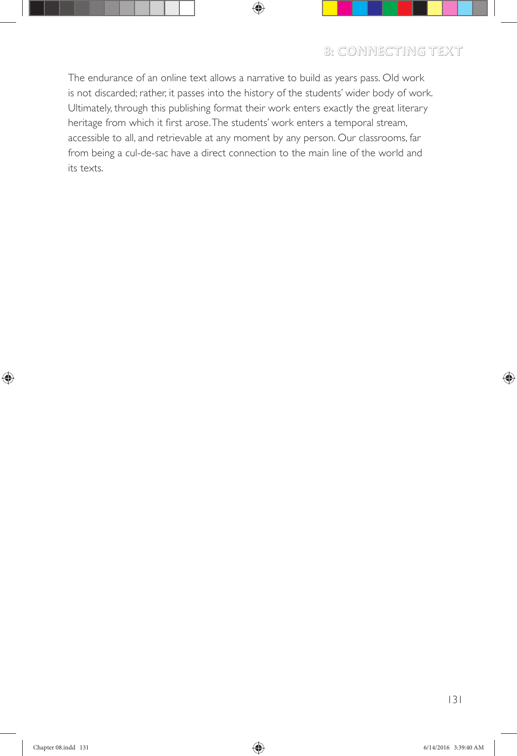

The endurance of an online text allows a narrative to build as years pass. Old work is not discarded; rather, it passes into the history of the students' wider body of work. Ultimately, through this publishing format their work enters exactly the great literary heritage from which it first arose. The students' work enters a temporal stream, accessible to all, and retrievable at any moment by any person. Our classrooms, far from being a cul-de-sac have a direct connection to the main line of the world and its texts.

 $\bigoplus$ 

◈

◈